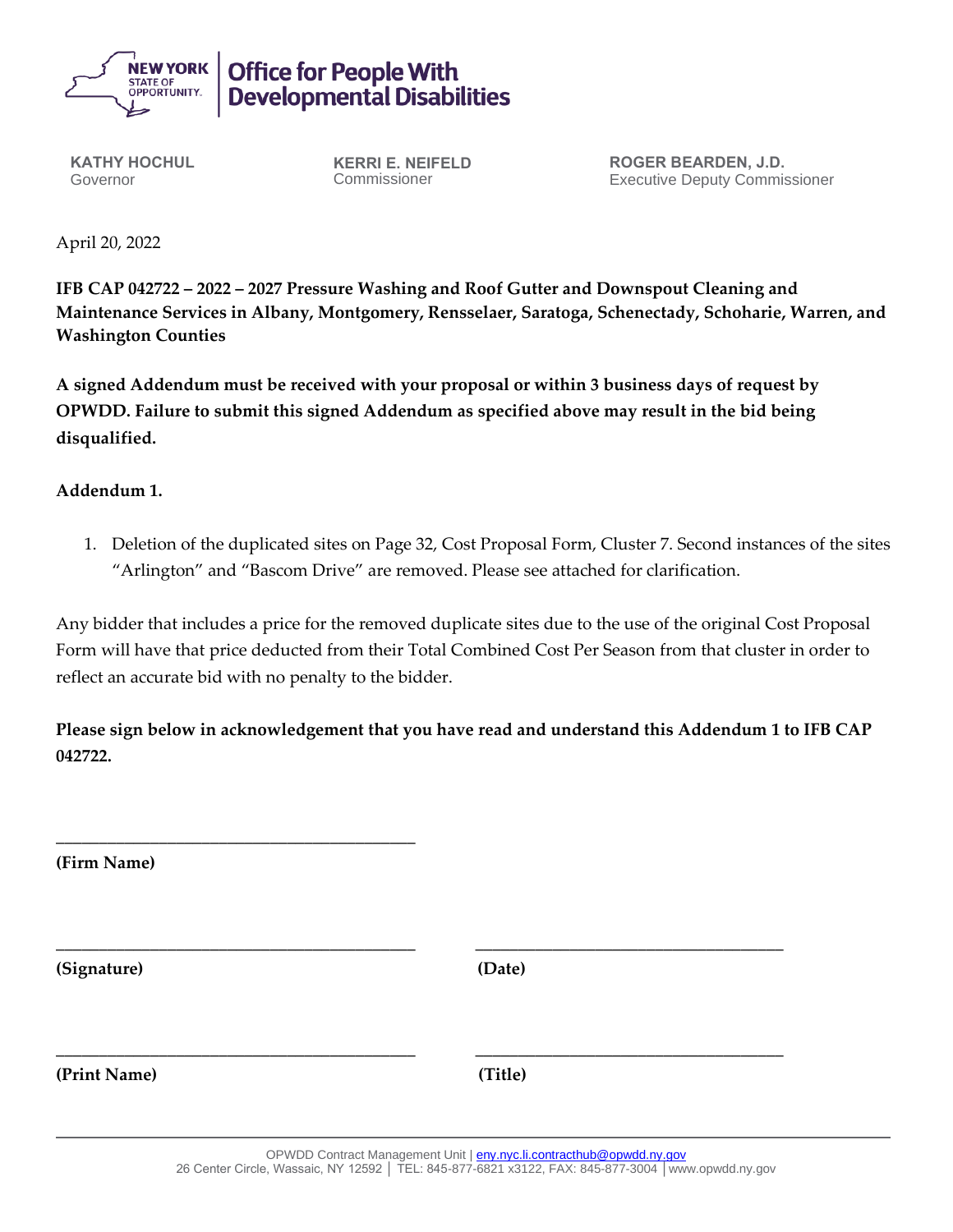

## **Office for People With Developmental Disabilities**

**KATHY HOCHUL** Governor

**KERRI E. NEIFELD** Commissioner

**ROGER BEARDEN, J.D.** Executive Deputy Commissioner

April 20, 2022

**IFB CAP 042722 – 2022 – 2027 Pressure Washing and Roof Gutter and Downspout Cleaning and Maintenance Services in Albany, Montgomery, Rensselaer, Saratoga, Schenectady, Schoharie, Warren, and Washington Counties**

**A signed Addendum must be received with your proposal or within 3 business days of request by OPWDD. Failure to submit this signed Addendum as specified above may result in the bid being disqualified.**

## **Addendum 1.**

1. Deletion of the duplicated sites on Page 32, Cost Proposal Form, Cluster 7. Second instances of the sites "Arlington" and "Bascom Drive" are removed. Please see attached for clarification.

Any bidder that includes a price for the removed duplicate sites due to the use of the original Cost Proposal Form will have that price deducted from their Total Combined Cost Per Season from that cluster in order to reflect an accurate bid with no penalty to the bidder.

**Please sign below in acknowledgement that you have read and understand this Addendum 1 to IFB CAP 042722.**

**\_\_\_\_\_\_\_\_\_\_\_\_\_\_\_\_\_\_\_\_\_\_\_\_\_\_\_\_\_\_\_\_\_\_\_\_\_\_\_\_\_\_ (Firm Name) \_\_\_\_\_\_\_\_\_\_\_\_\_\_\_\_\_\_\_\_\_\_\_\_\_\_\_\_\_\_\_\_\_\_\_\_\_\_\_\_\_\_ \_\_\_\_\_\_\_\_\_\_\_\_\_\_\_\_\_\_\_\_\_\_\_\_\_\_\_\_\_\_\_\_\_\_\_\_ (Signature) (Date) \_\_\_\_\_\_\_\_\_\_\_\_\_\_\_\_\_\_\_\_\_\_\_\_\_\_\_\_\_\_\_\_\_\_\_\_\_\_\_\_\_\_ \_\_\_\_\_\_\_\_\_\_\_\_\_\_\_\_\_\_\_\_\_\_\_\_\_\_\_\_\_\_\_\_\_\_\_\_ (Print Name) (Title)**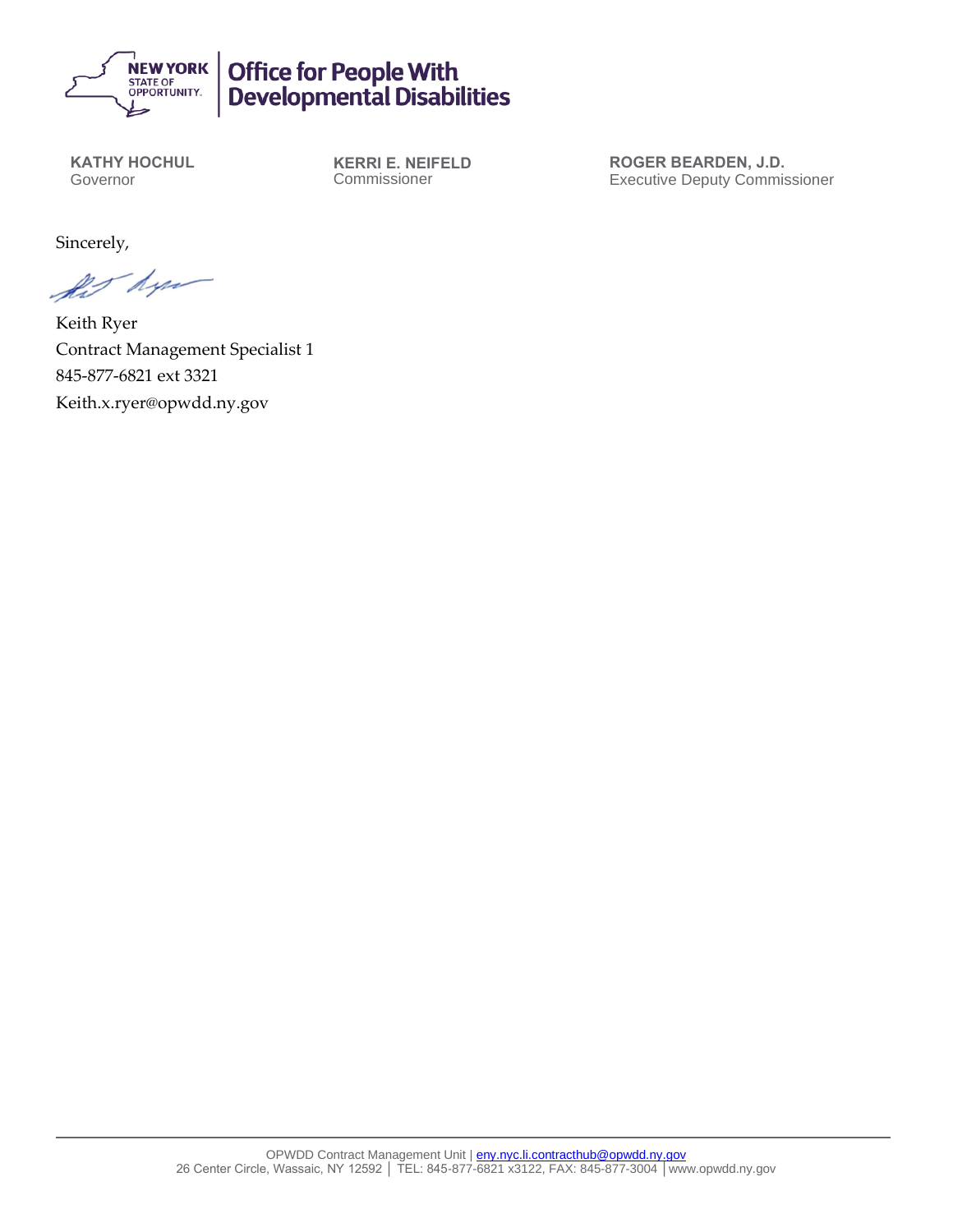

## Office for People With<br>Developmental Disabilities

**KATHY HOCHUL** Governor

**KERRI E. NEIFELD** Commissioner

**ROGER BEARDEN, J.D.** Executive Deputy Commissioner

Sincerely,

for dyn

Keith Ryer Contract Management Specialist 1 845-877-6821 ext 3321 Keith.x.ryer@opwdd.ny.gov